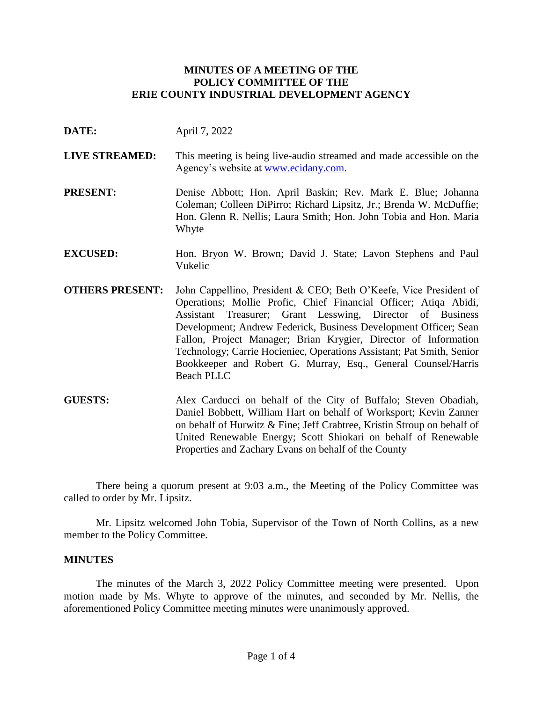### **MINUTES OF A MEETING OF THE POLICY COMMITTEE OF THE ERIE COUNTY INDUSTRIAL DEVELOPMENT AGENCY**

- **DATE:** April 7, 2022
- **LIVE STREAMED:** This meeting is being live-audio streamed and made accessible on the Agency's website at [www.ecidany.com.](http://www.ecidany.com/)
- **PRESENT:** Denise Abbott; Hon. April Baskin; Rev. Mark E. Blue; Johanna Coleman; Colleen DiPirro; Richard Lipsitz, Jr.; Brenda W. McDuffie; Hon. Glenn R. Nellis; Laura Smith; Hon. John Tobia and Hon. Maria Whyte
- **EXCUSED:** Hon. Bryon W. Brown; David J. State; Lavon Stephens and Paul Vukelic
- **OTHERS PRESENT:** John Cappellino, President & CEO; Beth O'Keefe, Vice President of Operations; Mollie Profic, Chief Financial Officer; Atiqa Abidi, Assistant Treasurer; Grant Lesswing, Director of Business Development; Andrew Federick, Business Development Officer; Sean Fallon, Project Manager; Brian Krygier, Director of Information Technology; Carrie Hocieniec, Operations Assistant; Pat Smith, Senior Bookkeeper and Robert G. Murray, Esq., General Counsel/Harris Beach PLLC
- **GUESTS:** Alex Carducci on behalf of the City of Buffalo; Steven Obadiah, Daniel Bobbett, William Hart on behalf of Worksport; Kevin Zanner on behalf of Hurwitz & Fine; Jeff Crabtree, Kristin Stroup on behalf of United Renewable Energy; Scott Shiokari on behalf of Renewable Properties and Zachary Evans on behalf of the County

There being a quorum present at 9:03 a.m., the Meeting of the Policy Committee was called to order by Mr. Lipsitz.

Mr. Lipsitz welcomed John Tobia, Supervisor of the Town of North Collins, as a new member to the Policy Committee.

#### **MINUTES**

The minutes of the March 3, 2022 Policy Committee meeting were presented. Upon motion made by Ms. Whyte to approve of the minutes, and seconded by Mr. Nellis, the aforementioned Policy Committee meeting minutes were unanimously approved.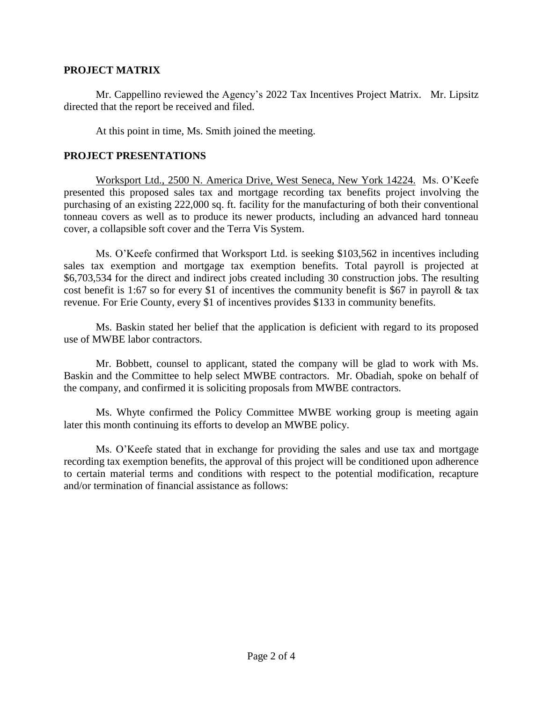### **PROJECT MATRIX**

Mr. Cappellino reviewed the Agency's 2022 Tax Incentives Project Matrix. Mr. Lipsitz directed that the report be received and filed.

At this point in time, Ms. Smith joined the meeting.

## **PROJECT PRESENTATIONS**

Worksport Ltd., 2500 N. America Drive, West Seneca, New York 14224. Ms. O'Keefe presented this proposed sales tax and mortgage recording tax benefits project involving the purchasing of an existing 222,000 sq. ft. facility for the manufacturing of both their conventional tonneau covers as well as to produce its newer products, including an advanced hard tonneau cover, a collapsible soft cover and the Terra Vis System.

Ms. O'Keefe confirmed that Worksport Ltd. is seeking \$103,562 in incentives including sales tax exemption and mortgage tax exemption benefits. Total payroll is projected at \$6,703,534 for the direct and indirect jobs created including 30 construction jobs. The resulting cost benefit is 1:67 so for every \$1 of incentives the community benefit is \$67 in payroll  $\&$  tax revenue. For Erie County, every \$1 of incentives provides \$133 in community benefits.

Ms. Baskin stated her belief that the application is deficient with regard to its proposed use of MWBE labor contractors.

Mr. Bobbett, counsel to applicant, stated the company will be glad to work with Ms. Baskin and the Committee to help select MWBE contractors. Mr. Obadiah, spoke on behalf of the company, and confirmed it is soliciting proposals from MWBE contractors.

Ms. Whyte confirmed the Policy Committee MWBE working group is meeting again later this month continuing its efforts to develop an MWBE policy.

Ms. O'Keefe stated that in exchange for providing the sales and use tax and mortgage recording tax exemption benefits, the approval of this project will be conditioned upon adherence to certain material terms and conditions with respect to the potential modification, recapture and/or termination of financial assistance as follows: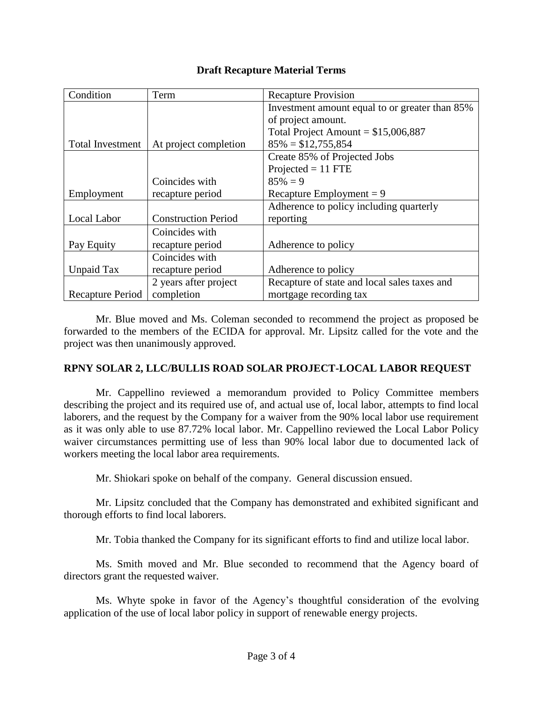## **Draft Recapture Material Terms**

| Condition               | Term                       | <b>Recapture Provision</b>                     |
|-------------------------|----------------------------|------------------------------------------------|
|                         |                            | Investment amount equal to or greater than 85% |
|                         |                            | of project amount.                             |
|                         |                            | Total Project Amount = $$15,006,887$           |
| <b>Total Investment</b> | At project completion      | $85\% = $12,755,854$                           |
|                         |                            | Create 85% of Projected Jobs                   |
|                         |                            | $Projected = 11$ FTE                           |
|                         | Coincides with             | $85\% = 9$                                     |
| Employment              | recapture period           | Recapture Employment = $9$                     |
|                         |                            | Adherence to policy including quarterly        |
| Local Labor             | <b>Construction Period</b> | reporting                                      |
|                         | Coincides with             |                                                |
| Pay Equity              | recapture period           | Adherence to policy                            |
|                         | Coincides with             |                                                |
| Unpaid Tax              | recapture period           | Adherence to policy                            |
|                         | 2 years after project      | Recapture of state and local sales taxes and   |
| Recapture Period        | completion                 | mortgage recording tax                         |

Mr. Blue moved and Ms. Coleman seconded to recommend the project as proposed be forwarded to the members of the ECIDA for approval. Mr. Lipsitz called for the vote and the project was then unanimously approved.

# **RPNY SOLAR 2, LLC/BULLIS ROAD SOLAR PROJECT-LOCAL LABOR REQUEST**

Mr. Cappellino reviewed a memorandum provided to Policy Committee members describing the project and its required use of, and actual use of, local labor, attempts to find local laborers, and the request by the Company for a waiver from the 90% local labor use requirement as it was only able to use 87.72% local labor. Mr. Cappellino reviewed the Local Labor Policy waiver circumstances permitting use of less than 90% local labor due to documented lack of workers meeting the local labor area requirements.

Mr. Shiokari spoke on behalf of the company. General discussion ensued.

Mr. Lipsitz concluded that the Company has demonstrated and exhibited significant and thorough efforts to find local laborers.

Mr. Tobia thanked the Company for its significant efforts to find and utilize local labor.

Ms. Smith moved and Mr. Blue seconded to recommend that the Agency board of directors grant the requested waiver.

Ms. Whyte spoke in favor of the Agency's thoughtful consideration of the evolving application of the use of local labor policy in support of renewable energy projects.